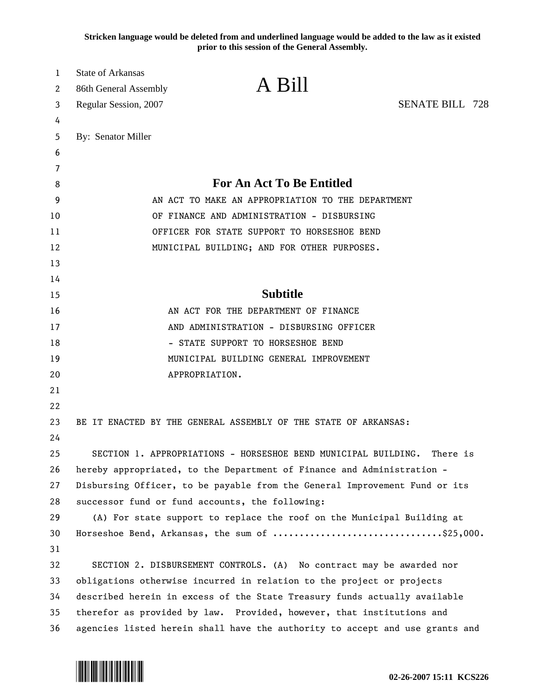**Stricken language would be deleted from and underlined language would be added to the law as it existed prior to this session of the General Assembly.**

| 1      | State of Arkansas                                                            | A Bill                                                               |                        |
|--------|------------------------------------------------------------------------------|----------------------------------------------------------------------|------------------------|
| 2      | 86th General Assembly                                                        |                                                                      |                        |
| 3      | Regular Session, 2007                                                        |                                                                      | <b>SENATE BILL 728</b> |
| 4      |                                                                              |                                                                      |                        |
| 5      | By: Senator Miller                                                           |                                                                      |                        |
| 6      |                                                                              |                                                                      |                        |
| 7      |                                                                              | <b>For An Act To Be Entitled</b>                                     |                        |
| 8<br>9 | AN ACT TO MAKE AN APPROPRIATION TO THE DEPARTMENT                            |                                                                      |                        |
| 10     | OF FINANCE AND ADMINISTRATION - DISBURSING                                   |                                                                      |                        |
| 11     | OFFICER FOR STATE SUPPORT TO HORSESHOE BEND                                  |                                                                      |                        |
| 12     |                                                                              | MUNICIPAL BUILDING; AND FOR OTHER PURPOSES.                          |                        |
| 13     |                                                                              |                                                                      |                        |
| 14     |                                                                              |                                                                      |                        |
| 15     |                                                                              | <b>Subtitle</b>                                                      |                        |
| 16     | AN ACT FOR THE DEPARTMENT OF FINANCE                                         |                                                                      |                        |
| 17     | AND ADMINISTRATION - DISBURSING OFFICER                                      |                                                                      |                        |
| 18     | - STATE SUPPORT TO HORSESHOE BEND                                            |                                                                      |                        |
| 19     | MUNICIPAL BUILDING GENERAL IMPROVEMENT                                       |                                                                      |                        |
| 20     | APPROPRIATION.                                                               |                                                                      |                        |
| 21     |                                                                              |                                                                      |                        |
| 22     |                                                                              |                                                                      |                        |
| 23     | BE IT ENACTED BY THE GENERAL ASSEMBLY OF THE STATE OF ARKANSAS:              |                                                                      |                        |
| 24     |                                                                              |                                                                      |                        |
| 25     |                                                                              | SECTION 1. APPROPRIATIONS - HORSESHOE BEND MUNICIPAL BUILDING.       | There is               |
| 26     | hereby appropriated, to the Department of Finance and Administration -       |                                                                      |                        |
| 27     | Disbursing Officer, to be payable from the General Improvement Fund or its   |                                                                      |                        |
| 28     | successor fund or fund accounts, the following:                              |                                                                      |                        |
| 29     | (A) For state support to replace the roof on the Municipal Building at       |                                                                      |                        |
| 30     | Horseshoe Bend, Arkansas, the sum of \$25,000.                               |                                                                      |                        |
| 31     |                                                                              |                                                                      |                        |
| 32     |                                                                              | SECTION 2. DISBURSEMENT CONTROLS. (A) No contract may be awarded nor |                        |
| 33     | obligations otherwise incurred in relation to the project or projects        |                                                                      |                        |
| 34     | described herein in excess of the State Treasury funds actually available    |                                                                      |                        |
| 35     | therefor as provided by law. Provided, however, that institutions and        |                                                                      |                        |
| 36     | agencies listed herein shall have the authority to accept and use grants and |                                                                      |                        |